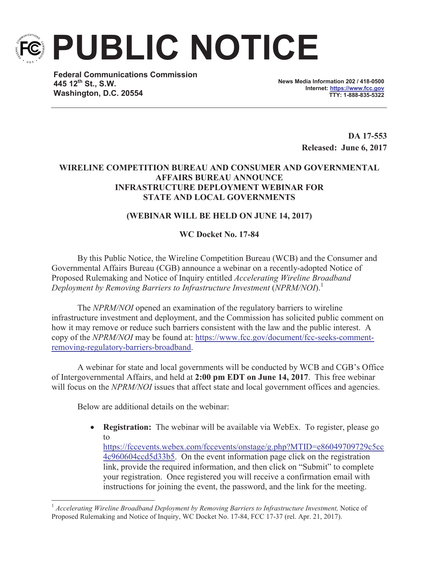

**PUBLIC NOTICE**

**Federal Communications Commission 445 12th St., S.W. Washington, D.C. 20554**

**News Media Information 202 / 418-0500 Internet: https://www.fcc.gov TTY: 1-888-835-5322**

> **DA 17-553 Released: June 6, 2017**

## **WIRELINE COMPETITION BUREAU AND CONSUMER AND GOVERNMENTAL AFFAIRS BUREAU ANNOUNCE INFRASTRUCTURE DEPLOYMENT WEBINAR FOR STATE AND LOCAL GOVERNMENTS**

## **(WEBINAR WILL BE HELD ON JUNE 14, 2017)**

## **WC Docket No. 17-84**

By this Public Notice, the Wireline Competition Bureau (WCB) and the Consumer and Governmental Affairs Bureau (CGB) announce a webinar on a recently-adopted Notice of Proposed Rulemaking and Notice of Inquiry entitled *Accelerating Wireline Broadband Deployment by Removing Barriers to Infrastructure Investment* (*NPRM/NOI*).<sup>1</sup>

The *NPRM/NOI* opened an examination of the regulatory barriers to wireline infrastructure investment and deployment, and the Commission has solicited public comment on how it may remove or reduce such barriers consistent with the law and the public interest. A copy of the *NPRM/NOI* may be found at: https://www.fcc.gov/document/fcc-seeks-commentremoving-regulatory-barriers-broadband.

A webinar for state and local governments will be conducted by WCB and CGB's Office of Intergovernmental Affairs, and held at **2:00 pm EDT on June 14, 2017**. This free webinar will focus on the *NPRM/NOI* issues that affect state and local government offices and agencies.

Below are additional details on the webinar:

· **Registration:** The webinar will be available via WebEx. To register, please go to https://fccevents.webex.com/fccevents/onstage/g.php?MTID=e86049709729c5cc 4c960604ccd5d33b5. On the event information page click on the registration link, provide the required information, and then click on "Submit" to complete your registration. Once registered you will receive a confirmation email with instructions for joining the event, the password, and the link for the meeting.

<sup>&</sup>lt;sup>1</sup> Accelerating Wireline Broadband Deployment by Removing Barriers to Infrastructure Investment, Notice of Proposed Rulemaking and Notice of Inquiry, WC Docket No. 17-84, FCC 17-37 (rel. Apr. 21, 2017).